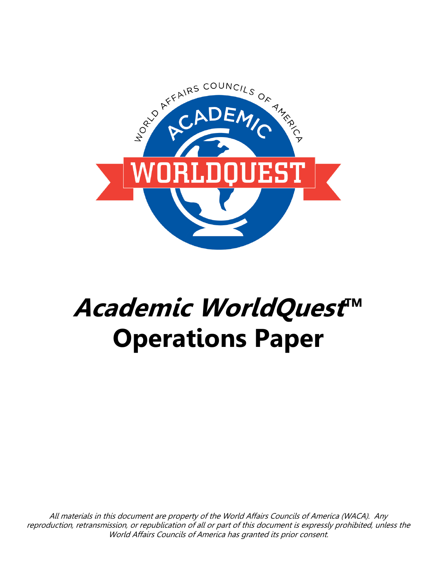

# **Academic WorldQuest™ Operations Paper**

All materials in this document are property of the World Affairs Councils of America (WACA). Any reproduction, retransmission, or republication of all or part of this document is expressly prohibited, unless the World Affairs Councils of America has granted its prior consent.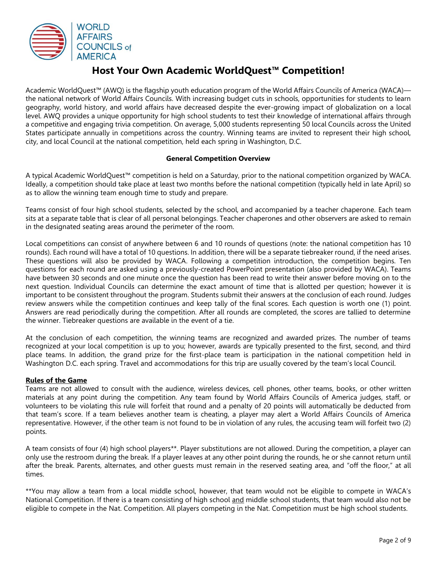

## **Host Your Own Academic WorldQuest™ Competition!**

Academic WorldQuest™ (AWQ) is the flagship youth education program of the World Affairs Councils of America (WACA) the national network of World Affairs Councils. With increasing budget cuts in schools, opportunities for students to learn geography, world history, and world affairs have decreased despite the ever-growing impact of globalization on a local level. AWQ provides a unique opportunity for high school students to test their knowledge of international affairs through a competitive and engaging trivia competition. On average, 5,000 students representing 50 local Councils across the United States participate annually in competitions across the country. Winning teams are invited to represent their high school, city, and local Council at the national competition, held each spring in Washington, D.C.

#### **General Competition Overview**

A typical Academic WorldQuest™ competition is held on a Saturday, prior to the national competition organized by WACA. Ideally, a competition should take place at least two months before the national competition (typically held in late April) so as to allow the winning team enough time to study and prepare.

Teams consist of four high school students, selected by the school, and accompanied by a teacher chaperone. Each team sits at a separate table that is clear of all personal belongings. Teacher chaperones and other observers are asked to remain in the designated seating areas around the perimeter of the room.

Local competitions can consist of anywhere between 6 and 10 rounds of questions (note: the national competition has 10 rounds). Each round will have a total of 10 questions. In addition, there will be a separate tiebreaker round, if the need arises. These questions will also be provided by WACA. Following a competition introduction, the competition begins. Ten questions for each round are asked using a previously-created PowerPoint presentation (also provided by WACA). Teams have between 30 seconds and one minute once the question has been read to write their answer before moving on to the next question. Individual Councils can determine the exact amount of time that is allotted per question; however it is important to be consistent throughout the program. Students submit their answers at the conclusion of each round. Judges review answers while the competition continues and keep tally of the final scores. Each question is worth one (1) point. Answers are read periodically during the competition. After all rounds are completed, the scores are tallied to determine the winner. Tiebreaker questions are available in the event of a tie.

At the conclusion of each competition, the winning teams are recognized and awarded prizes. The number of teams recognized at your local competition is up to you; however, awards are typically presented to the first, second, and third place teams. In addition, the grand prize for the first-place team is participation in the national competition held in Washington D.C. each spring. Travel and accommodations for this trip are usually covered by the team's local Council.

#### **Rules of the Game**

Teams are not allowed to consult with the audience, wireless devices, cell phones, other teams, books, or other written materials at any point during the competition. Any team found by World Affairs Councils of America judges, staff, or volunteers to be violating this rule will forfeit that round and a penalty of 20 points will automatically be deducted from that team's score. If a team believes another team is cheating, a player may alert a World Affairs Councils of America representative. However, if the other team is not found to be in violation of any rules, the accusing team will forfeit two (2) points.

A team consists of four (4) high school players\*\*. Player substitutions are not allowed. During the competition, a player can only use the restroom during the break. If a player leaves at any other point during the rounds, he or she cannot return until after the break. Parents, alternates, and other guests must remain in the reserved seating area, and "off the floor," at all times.

\*\*You may allow a team from a local middle school, however, that team would not be eligible to compete in WACA's National Competition. If there is a team consisting of high school and middle school students, that team would also not be eligible to compete in the Nat. Competition. All players competing in the Nat. Competition must be high school students.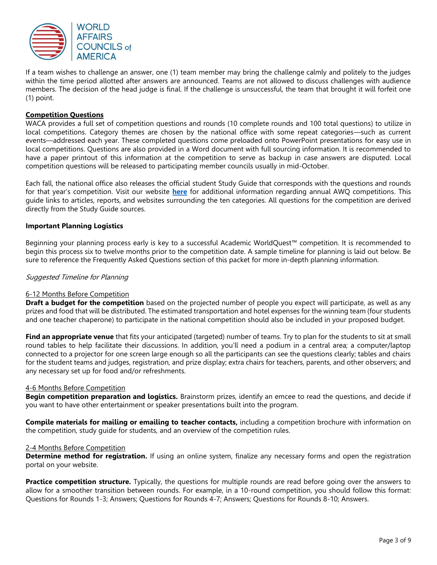

If a team wishes to challenge an answer, one (1) team member may bring the challenge calmly and politely to the judges within the time period allotted after answers are announced. Teams are not allowed to discuss challenges with audience members. The decision of the head judge is final. If the challenge is unsuccessful, the team that brought it will forfeit one (1) point.

#### **Competition Questions**

WACA provides a full set of competition questions and rounds (10 complete rounds and 100 total questions) to utilize in local competitions. Category themes are chosen by the national office with some repeat categories—such as current events—addressed each year. These completed questions come preloaded onto PowerPoint presentations for easy use in local competitions. Questions are also provided in a Word document with full sourcing information. It is recommended to have a paper printout of this information at the competition to serve as backup in case answers are disputed. Local competition questions will be released to participating member councils usually in mid-October.

Each fall, the national office also releases the official student Study Guide that corresponds with the questions and rounds for that year's competition. Visit our website **[here](https://www.worldaffairscouncils.org/WorldQuest/)** for additional information regarding annual AWQ competitions. This guide links to articles, reports, and websites surrounding the ten categories. All questions for the competition are derived directly from the Study Guide sources.

#### **Important Planning Logistics**

Beginning your planning process early is key to a successful Academic WorldQuest™ competition. It is recommended to begin this process six to twelve months prior to the competition date. A sample timeline for planning is laid out below. Be sure to reference the Frequently Asked Questions section of this packet for more in-depth planning information.

#### Suggested Timeline for Planning

#### 6-12 Months Before Competition

**Draft a budget for the competition** based on the projected number of people you expect will participate, as well as any prizes and food that will be distributed. The estimated transportation and hotel expenses for the winning team (four students and one teacher chaperone) to participate in the national competition should also be included in your proposed budget.

**Find an appropriate venue** that fits your anticipated (targeted) number of teams. Try to plan for the students to sit at small round tables to help facilitate their discussions. In addition, you'll need a podium in a central area; a computer/laptop connected to a projector for one screen large enough so all the participants can see the questions clearly; tables and chairs for the student teams and judges, registration, and prize display; extra chairs for teachers, parents, and other observers; and any necessary set up for food and/or refreshments.

#### 4-6 Months Before Competition

**Begin competition preparation and logistics.** Brainstorm prizes, identify an emcee to read the questions, and decide if you want to have other entertainment or speaker presentations built into the program.

**Compile materials for mailing or emailing to teacher contacts,** including a competition brochure with information on the competition, study guide for students, and an overview of the competition rules.

#### 2-4 Months Before Competition

**Determine method for registration.** If using an online system, finalize any necessary forms and open the registration portal on your website.

**Practice competition structure.** Typically, the questions for multiple rounds are read before going over the answers to allow for a smoother transition between rounds. For example, in a 10-round competition, you should follow this format: Questions for Rounds 1-3; Answers; Questions for Rounds 4-7; Answers; Questions for Rounds 8-10; Answers.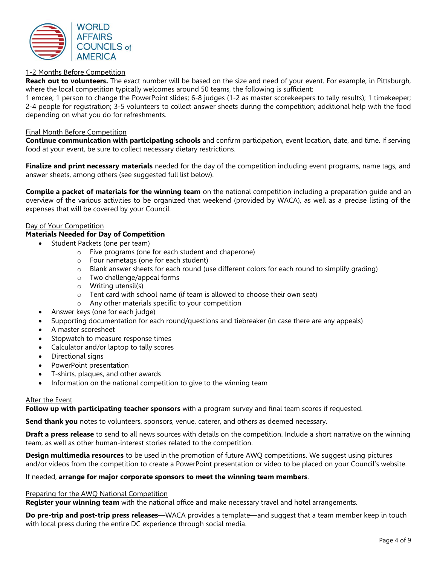

#### 1-2 Months Before Competition

**Reach out to volunteers.** The exact number will be based on the size and need of your event. For example, in Pittsburgh, where the local competition typically welcomes around 50 teams, the following is sufficient:

1 emcee; 1 person to change the PowerPoint slides; 6-8 judges (1-2 as master scorekeepers to tally results); 1 timekeeper; 2-4 people for registration; 3-5 volunteers to collect answer sheets during the competition; additional help with the food depending on what you do for refreshments.

#### Final Month Before Competition

**Continue communication with participating schools** and confirm participation, event location, date, and time. If serving food at your event, be sure to collect necessary dietary restrictions.

**Finalize and print necessary materials** needed for the day of the competition including event programs, name tags, and answer sheets, among others (see suggested full list below).

**Compile a packet of materials for the winning team** on the national competition including a preparation guide and an overview of the various activities to be organized that weekend (provided by WACA), as well as a precise listing of the expenses that will be covered by your Council.

#### Day of Your Competition

#### **Materials Needed for Day of Competition**

- Student Packets (one per team)
	- o Five programs (one for each student and chaperone)
	- o Four nametags (one for each student)
	- $\circ$  Blank answer sheets for each round (use different colors for each round to simplify grading)
	- o Two challenge/appeal forms
	- o Writing utensil(s)
	- o Tent card with school name (if team is allowed to choose their own seat)
	- o Any other materials specific to your competition
- Answer keys (one for each judge)
- Supporting documentation for each round/questions and tiebreaker (in case there are any appeals)
- A master scoresheet
- Stopwatch to measure response times
- Calculator and/or laptop to tally scores
- Directional signs
- PowerPoint presentation
- T-shirts, plaques, and other awards
- Information on the national competition to give to the winning team

#### After the Event

**Follow up with participating teacher sponsors** with a program survey and final team scores if requested.

**Send thank you** notes to volunteers, sponsors, venue, caterer, and others as deemed necessary.

**Draft a press release** to send to all news sources with details on the competition. Include a short narrative on the winning team, as well as other human-interest stories related to the competition.

**Design multimedia resources** to be used in the promotion of future AWQ competitions. We suggest using pictures and/or videos from the competition to create a PowerPoint presentation or video to be placed on your Council's website.

#### If needed, **arrange for major corporate sponsors to meet the winning team members**.

#### Preparing for the AWQ National Competition

**Register your winning team** with the national office and make necessary travel and hotel arrangements.

**Do pre-trip and post-trip press releases**—WACA provides a template—and suggest that a team member keep in touch with local press during the entire DC experience through social media.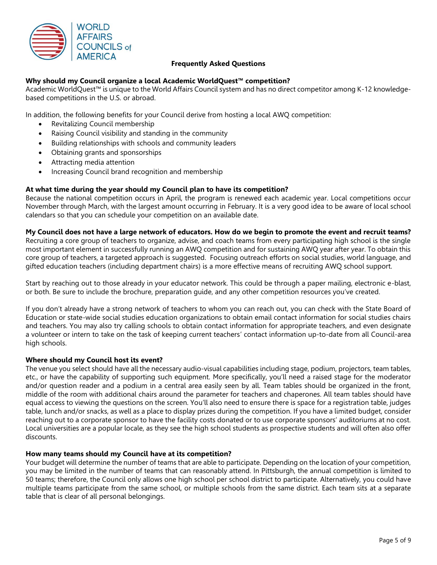

#### **Frequently Asked Questions**

#### **Why should my Council organize a local Academic WorldQuest™ competition?**

Academic WorldQuest™ is unique to the World Affairs Council system and has no direct competitor among K-12 knowledgebased competitions in the U.S. or abroad.

In addition, the following benefits for your Council derive from hosting a local AWQ competition:

- Revitalizing Council membership
- Raising Council visibility and standing in the community
- Building relationships with schools and community leaders
- Obtaining grants and sponsorships
- Attracting media attention
- Increasing Council brand recognition and membership

#### **At what time during the year should my Council plan to have its competition?**

Because the national competition occurs in April, the program is renewed each academic year. Local competitions occur November through March, with the largest amount occurring in February. It is a very good idea to be aware of local school calendars so that you can schedule your competition on an available date.

#### **My Council does not have a large network of educators. How do we begin to promote the event and recruit teams?**

Recruiting a core group of teachers to organize, advise, and coach teams from every participating high school is the single most important element in successfully running an AWQ competition and for sustaining AWQ year after year. To obtain this core group of teachers, a targeted approach is suggested. Focusing outreach efforts on social studies, world language, and gifted education teachers (including department chairs) is a more effective means of recruiting AWQ school support.

Start by reaching out to those already in your educator network. This could be through a paper mailing, electronic e-blast, or both. Be sure to include the brochure, preparation guide, and any other competition resources you've created.

If you don't already have a strong network of teachers to whom you can reach out, you can check with the State Board of Education or state-wide social studies education organizations to obtain email contact information for social studies chairs and teachers. You may also try calling schools to obtain contact information for appropriate teachers, and even designate a volunteer or intern to take on the task of keeping current teachers' contact information up-to-date from all Council-area high schools.

#### **Where should my Council host its event?**

The venue you select should have all the necessary audio-visual capabilities including stage, podium, projectors, team tables, etc., or have the capability of supporting such equipment. More specifically, you'll need a raised stage for the moderator and/or question reader and a podium in a central area easily seen by all. Team tables should be organized in the front, middle of the room with additional chairs around the parameter for teachers and chaperones. All team tables should have equal access to viewing the questions on the screen. You'll also need to ensure there is space for a registration table, judges table, lunch and/or snacks, as well as a place to display prizes during the competition. If you have a limited budget, consider reaching out to a corporate sponsor to have the facility costs donated or to use corporate sponsors' auditoriums at no cost. Local universities are a popular locale, as they see the high school students as prospective students and will often also offer discounts.

#### **How many teams should my Council have at its competition?**

Your budget will determine the number of teams that are able to participate. Depending on the location of your competition, you may be limited in the number of teams that can reasonably attend. In Pittsburgh, the annual competition is limited to 50 teams; therefore, the Council only allows one high school per school district to participate. Alternatively, you could have multiple teams participate from the same school, or multiple schools from the same district. Each team sits at a separate table that is clear of all personal belongings.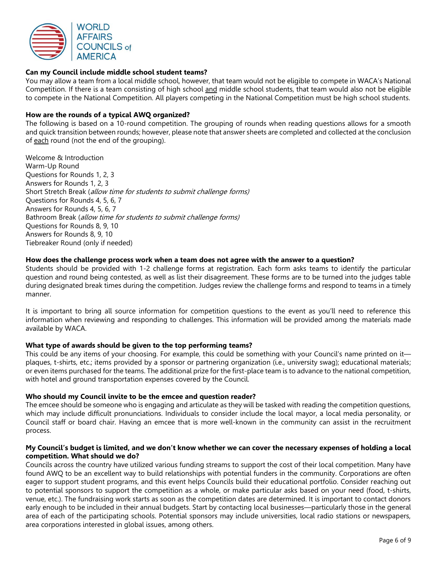

#### **Can my Council include middle school student teams?**

You may allow a team from a local middle school, however, that team would not be eligible to compete in WACA's National Competition. If there is a team consisting of high school and middle school students, that team would also not be eligible to compete in the National Competition. All players competing in the National Competition must be high school students.

#### **How are the rounds of a typical AWQ organized?**

The following is based on a 10-round competition. The grouping of rounds when reading questions allows for a smooth and quick transition between rounds; however, please note that answer sheets are completed and collected at the conclusion of each round (not the end of the grouping).

Welcome & Introduction Warm-Up Round Questions for Rounds 1, 2, 3 Answers for Rounds 1, 2, 3 Short Stretch Break (allow time for students to submit challenge forms) Questions for Rounds 4, 5, 6, 7 Answers for Rounds 4, 5, 6, 7 Bathroom Break (allow time for students to submit challenge forms) Questions for Rounds 8, 9, 10 Answers for Rounds 8, 9, 10 Tiebreaker Round (only if needed)

#### **How does the challenge process work when a team does not agree with the answer to a question?**

Students should be provided with 1-2 challenge forms at registration. Each form asks teams to identify the particular question and round being contested, as well as list their disagreement. These forms are to be turned into the judges table during designated break times during the competition. Judges review the challenge forms and respond to teams in a timely manner.

It is important to bring all source information for competition questions to the event as you'll need to reference this information when reviewing and responding to challenges. This information will be provided among the materials made available by WACA.

#### **What type of awards should be given to the top performing teams?**

This could be any items of your choosing. For example, this could be something with your Council's name printed on it plaques, t-shirts, etc.; items provided by a sponsor or partnering organization (i.e., university swag); educational materials; or even items purchased for the teams. The additional prize for the first-place team is to advance to the national competition, with hotel and ground transportation expenses covered by the Council.

#### **Who should my Council invite to be the emcee and question reader?**

The emcee should be someone who is engaging and articulate as they will be tasked with reading the competition questions, which may include difficult pronunciations. Individuals to consider include the local mayor, a local media personality, or Council staff or board chair. Having an emcee that is more well-known in the community can assist in the recruitment process.

#### **My Council's budget is limited, and we don't know whether we can cover the necessary expenses of holding a local competition. What should we do?**

Councils across the country have utilized various funding streams to support the cost of their local competition. Many have found AWQ to be an excellent way to build relationships with potential funders in the community. Corporations are often eager to support student programs, and this event helps Councils build their educational portfolio. Consider reaching out to potential sponsors to support the competition as a whole, or make particular asks based on your need (food, t-shirts, venue, etc.). The fundraising work starts as soon as the competition dates are determined. It is important to contact donors early enough to be included in their annual budgets. Start by contacting local businesses—particularly those in the general area of each of the participating schools. Potential sponsors may include universities, local radio stations or newspapers, area corporations interested in global issues, among others.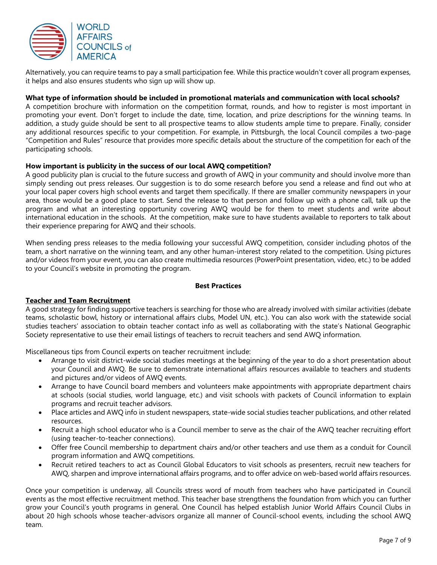

Alternatively, you can require teams to pay a small participation fee. While this practice wouldn't cover all program expenses, it helps and also ensures students who sign up will show up.

### **What type of information should be included in promotional materials and communication with local schools?**

A competition brochure with information on the competition format, rounds, and how to register is most important in promoting your event. Don't forget to include the date, time, location, and prize descriptions for the winning teams. In addition, a study guide should be sent to all prospective teams to allow students ample time to prepare. Finally, consider any additional resources specific to your competition. For example, in Pittsburgh, the local Council compiles a two-page "Competition and Rules" resource that provides more specific details about the structure of the competition for each of the participating schools.

#### **How important is publicity in the success of our local AWQ competition?**

A good publicity plan is crucial to the future success and growth of AWQ in your community and should involve more than simply sending out press releases. Our suggestion is to do some research before you send a release and find out who at your local paper covers high school events and target them specifically. If there are smaller community newspapers in your area, those would be a good place to start. Send the release to that person and follow up with a phone call, talk up the program and what an interesting opportunity covering AWQ would be for them to meet students and write about international education in the schools. At the competition, make sure to have students available to reporters to talk about their experience preparing for AWQ and their schools.

When sending press releases to the media following your successful AWQ competition, consider including photos of the team, a short narrative on the winning team, and any other human-interest story related to the competition. Using pictures and/or videos from your event, you can also create multimedia resources (PowerPoint presentation, video, etc.) to be added to your Council's website in promoting the program.

#### **Best Practices**

#### **Teacher and Team Recruitment**

A good strategy for finding supportive teachers is searching for those who are already involved with similar activities (debate teams, scholastic bowl, history or international affairs clubs, Model UN, etc.). You can also work with the statewide social studies teachers' association to obtain teacher contact info as well as collaborating with the state's National Geographic Society representative to use their email listings of teachers to recruit teachers and send AWQ information.

Miscellaneous tips from Council experts on teacher recruitment include:

- Arrange to visit district-wide social studies meetings at the beginning of the year to do a short presentation about your Council and AWQ. Be sure to demonstrate international affairs resources available to teachers and students and pictures and/or videos of AWQ events.
- Arrange to have Council board members and volunteers make appointments with appropriate department chairs at schools (social studies, world language, etc.) and visit schools with packets of Council information to explain programs and recruit teacher advisors.
- Place articles and AWQ info in student newspapers, state-wide social studies teacher publications, and other related resources.
- Recruit a high school educator who is a Council member to serve as the chair of the AWQ teacher recruiting effort (using teacher-to-teacher connections).
- Offer free Council membership to department chairs and/or other teachers and use them as a conduit for Council program information and AWQ competitions.
- Recruit retired teachers to act as Council Global Educators to visit schools as presenters, recruit new teachers for AWQ, sharpen and improve international affairs programs, and to offer advice on web-based world affairs resources.

Once your competition is underway, all Councils stress word of mouth from teachers who have participated in Council events as the most effective recruitment method. This teacher base strengthens the foundation from which you can further grow your Council's youth programs in general. One Council has helped establish Junior World Affairs Council Clubs in about 20 high schools whose teacher-advisors organize all manner of Council-school events, including the school AWQ team.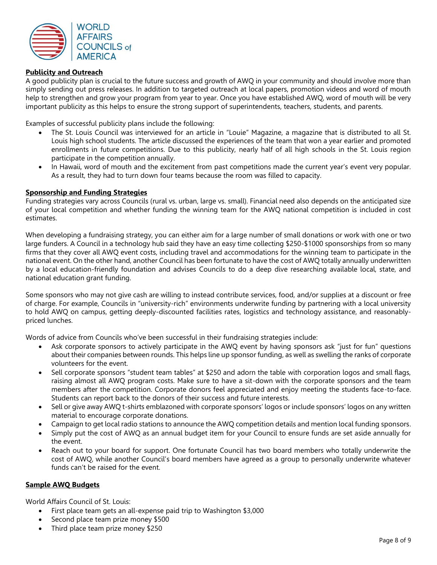

#### **Publicity and Outreach**

A good publicity plan is crucial to the future success and growth of AWQ in your community and should involve more than simply sending out press releases. In addition to targeted outreach at local papers, promotion videos and word of mouth help to strengthen and grow your program from year to year. Once you have established AWQ, word of mouth will be very important publicity as this helps to ensure the strong support of superintendents, teachers, students, and parents.

Examples of successful publicity plans include the following:

- The St. Louis Council was interviewed for an article in "Louie" Magazine, a magazine that is distributed to all St. Louis high school students. The article discussed the experiences of the team that won a year earlier and promoted enrollments in future competitions. Due to this publicity, nearly half of all high schools in the St. Louis region participate in the competition annually.
- In Hawaii, word of mouth and the excitement from past competitions made the current year's event very popular. As a result, they had to turn down four teams because the room was filled to capacity.

#### **Sponsorship and Funding Strategies**

Funding strategies vary across Councils (rural vs. urban, large vs. small). Financial need also depends on the anticipated size of your local competition and whether funding the winning team for the AWQ national competition is included in cost estimates.

When developing a fundraising strategy, you can either aim for a large number of small donations or work with one or two large funders. A Council in a technology hub said they have an easy time collecting \$250-\$1000 sponsorships from so many firms that they cover all AWQ event costs, including travel and accommodations for the winning team to participate in the national event. On the other hand, another Council has been fortunate to have the cost of AWQ totally annually underwritten by a local education-friendly foundation and advises Councils to do a deep dive researching available local, state, and national education grant funding.

Some sponsors who may not give cash are willing to instead contribute services, food, and/or supplies at a discount or free of charge. For example, Councils in "university-rich" environments underwrite funding by partnering with a local university to hold AWQ on campus, getting deeply-discounted facilities rates, logistics and technology assistance, and reasonablypriced lunches.

Words of advice from Councils who've been successful in their fundraising strategies include:

- Ask corporate sponsors to actively participate in the AWO event by having sponsors ask "just for fun" questions about their companies between rounds. This helps line up sponsor funding, as well as swelling the ranks of corporate volunteers for the event.
- Sell corporate sponsors "student team tables" at \$250 and adorn the table with corporation logos and small flags, raising almost all AWQ program costs. Make sure to have a sit-down with the corporate sponsors and the team members after the competition. Corporate donors feel appreciated and enjoy meeting the students face-to-face. Students can report back to the donors of their success and future interests.
- Sell or give away AWQ t-shirts emblazoned with corporate sponsors' logos or include sponsors' logos on any written material to encourage corporate donations.
- Campaign to get local radio stations to announce the AWQ competition details and mention local funding sponsors.
- Simply put the cost of AWQ as an annual budget item for your Council to ensure funds are set aside annually for the event.
- Reach out to your board for support. One fortunate Council has two board members who totally underwrite the cost of AWQ, while another Council's board members have agreed as a group to personally underwrite whatever funds can't be raised for the event.

#### **Sample AWQ Budgets**

World Affairs Council of St. Louis:

- First place team gets an all-expense paid trip to Washington \$3,000
- Second place team prize money \$500
- Third place team prize money \$250